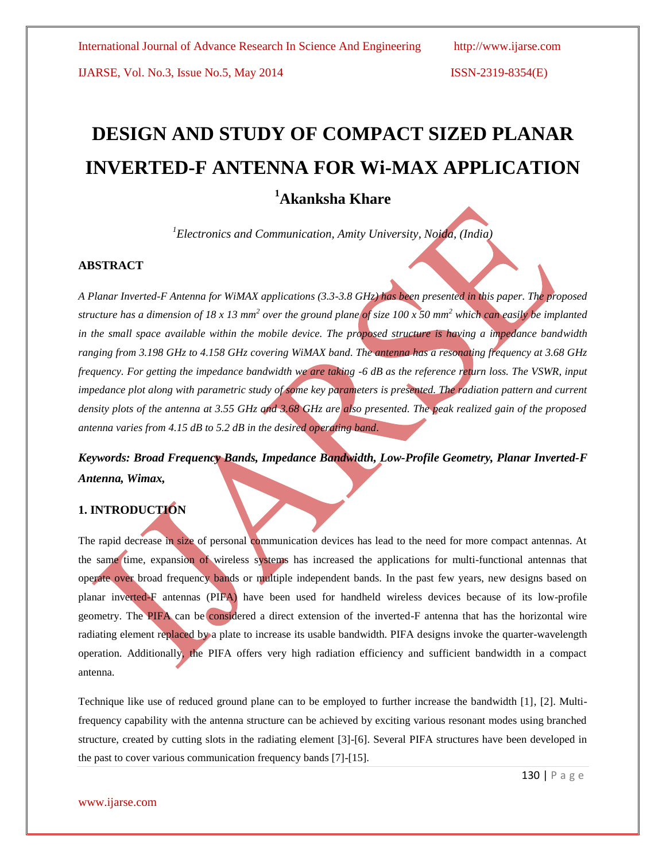IJARSE, Vol. No.3, Issue No.5, May 2014 ISSN-2319-8354(E)

# **DESIGN AND STUDY OF COMPACT SIZED PLANAR INVERTED-F ANTENNA FOR Wi-MAX APPLICATION**

# **<sup>1</sup>Akanksha Khare**

*<sup>1</sup>Electronics and Communication, Amity University, Noida, (India)*

#### **ABSTRACT**

*A Planar Inverted-F Antenna for WiMAX applications (3.3-3.8 GHz) has been presented in this paper. The proposed*  structure has a dimension of 18 x 13 mm<sup>2</sup> over the ground plane of size 100 x 50 mm<sup>2</sup> which can easily be implanted *in the small space available within the mobile device. The proposed structure is having a impedance bandwidth ranging from 3.198 GHz to 4.158 GHz covering WiMAX band. The antenna has a resonating frequency at 3.68 GHz frequency. For getting the impedance bandwidth we are taking -6 dB as the reference return loss. The VSWR, input impedance plot along with parametric study of some key parameters is presented. The radiation pattern and current density plots of the antenna at 3.55 GHz and 3.68 GHz are also presented. The peak realized gain of the proposed antenna varies from 4.15 dB to 5.2 dB in the desired operating band*.

## *Keywords: Broad Frequency Bands, Impedance Bandwidth, Low-Profile Geometry, Planar Inverted-F Antenna, Wimax,*

### **1. INTRODUCTION**

The rapid decrease in size of personal communication devices has lead to the need for more compact antennas. At the same time, expansion of wireless systems has increased the applications for multi-functional antennas that operate over broad frequency bands or multiple independent bands. In the past few years, new designs based on planar inverted-F antennas (PIFA) have been used for handheld wireless devices because of its low-profile geometry. The PIFA can be considered a direct extension of the inverted-F antenna that has the horizontal wire radiating element replaced by a plate to increase its usable bandwidth. PIFA designs invoke the quarter-wavelength operation. Additionally, the PIFA offers very high radiation efficiency and sufficient bandwidth in a compact antenna.

Technique like use of reduced ground plane can to be employed to further increase the bandwidth [1], [2]. Multifrequency capability with the antenna structure can be achieved by exciting various resonant modes using branched structure, created by cutting slots in the radiating element [3]-[6]. Several PIFA structures have been developed in the past to cover various communication frequency bands [7]-[15].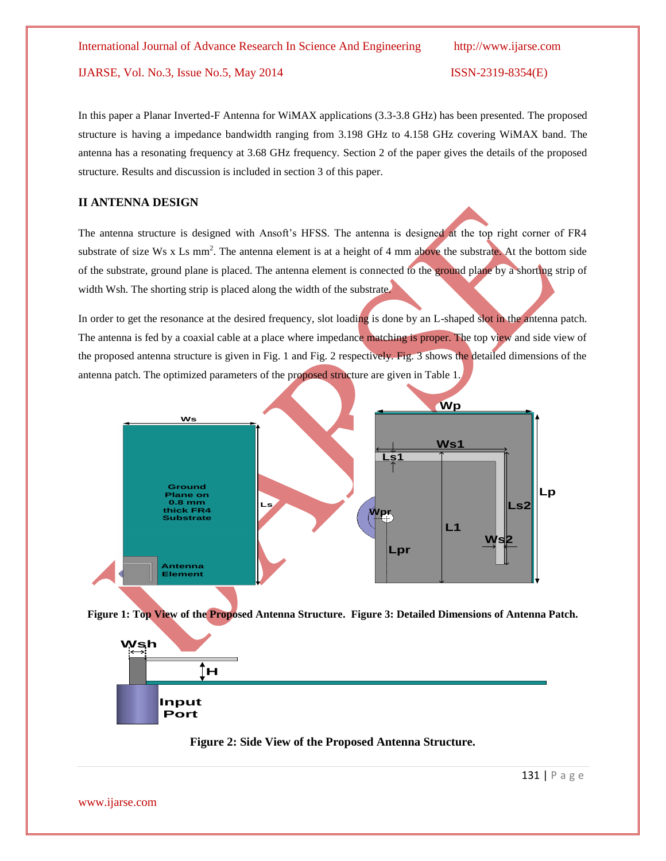IJARSE, Vol. No.3, Issue No.5, May 2014 ISSN-2319-8354(E)

In this paper a Planar Inverted-F Antenna for WiMAX applications (3.3-3.8 GHz) has been presented. The proposed structure is having a impedance bandwidth ranging from 3.198 GHz to 4.158 GHz covering WiMAX band. The antenna has a resonating frequency at 3.68 GHz frequency. Section 2 of the paper gives the details of the proposed structure. Results and discussion is included in section 3 of this paper.

#### **II ANTENNA DESIGN**

The antenna structure is designed with Ansoft's HFSS. The antenna is designed at the top right corner of FR4 substrate of size Ws x Ls mm<sup>2</sup>. The antenna element is at a height of 4 mm above the substrate. At the bottom side of the substrate, ground plane is placed. The antenna element is connected to the ground plane by a shorting strip of width Wsh. The shorting strip is placed along the width of the substrate.

In order to get the resonance at the desired frequency, slot loading is done by an L-shaped slot in the antenna patch. The antenna is fed by a coaxial cable at a place where impedance matching is proper. The top view and side view of the proposed antenna structure is given in Fig. 1 and Fig. 2 respectively. Fig. 3 shows the detailed dimensions of the antenna patch. The optimized parameters of the proposed structure are given in Table 1.



**Figure 1: Top View of the Proposed Antenna Structure. Figure 3: Detailed Dimensions of Antenna Patch.**



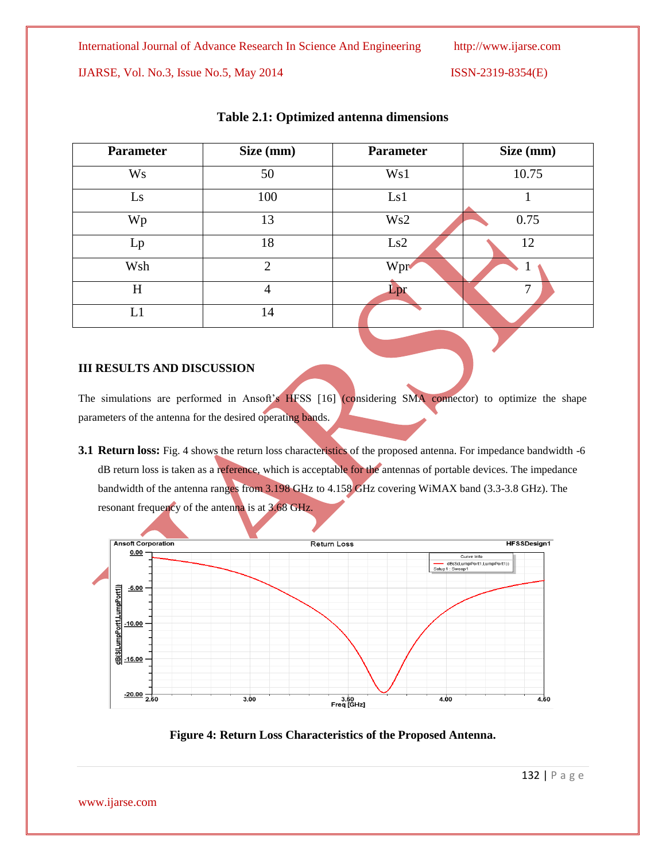IJARSE, Vol. No.3, Issue No.5, May 2014 ISSN-2319-8354(E)

| <b>Parameter</b> | Size (mm)      | <b>Parameter</b> | Size (mm) |
|------------------|----------------|------------------|-----------|
| <b>Ws</b>        | 50             | Ws1              | 10.75     |
| Ls               | 100            | Ls1              |           |
| Wp               | 13             | Ws2              | 0.75      |
| Lp               | 18             | Ls2              | 12        |
| Wsh              | $\overline{2}$ | Wpr              |           |
| H                | 4              | Lpr              | 7         |
| L1               | 14             |                  |           |

#### **Table 2.1: Optimized antenna dimensions**

#### **III RESULTS AND DISCUSSION**

The simulations are performed in Ansoft's HFSS [16] (considering SMA connector) to optimize the shape parameters of the antenna for the desired operating bands.

**3.1 Return loss:** Fig. 4 shows the return loss characteristics of the proposed antenna. For impedance bandwidth -6 dB return loss is taken as a reference, which is acceptable for the antennas of portable devices. The impedance bandwidth of the antenna ranges from 3.198 GHz to 4.158 GHz covering WiMAX band (3.3-3.8 GHz). The resonant frequency of the antenna is at 3.68 GHz.



**Figure 4: Return Loss Characteristics of the Proposed Antenna.**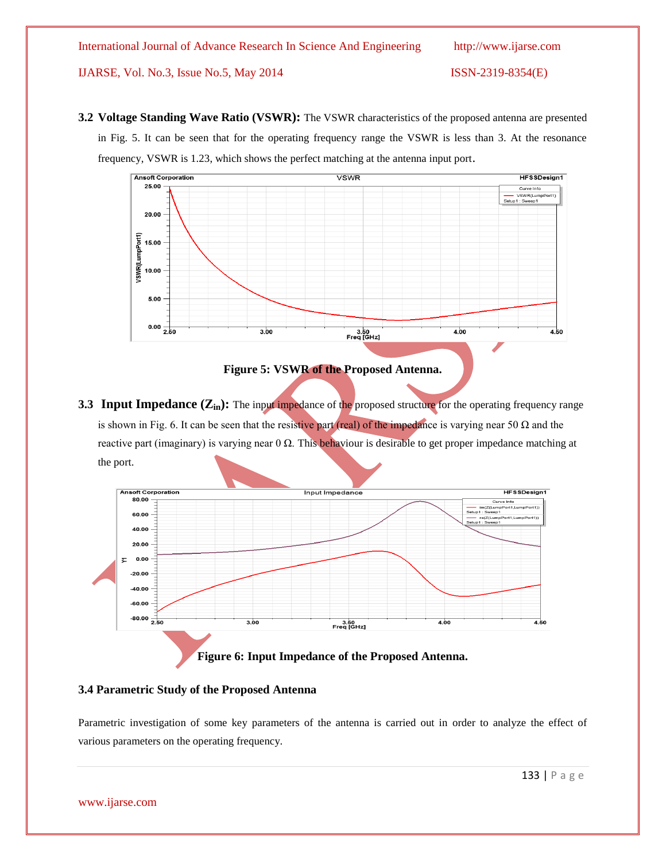IJARSE, Vol. No.3, Issue No.5, May 2014 ISSN-2319-8354(E)

**3.2 Voltage Standing Wave Ratio (VSWR):** The VSWR characteristics of the proposed antenna are presented in Fig. 5. It can be seen that for the operating frequency range the VSWR is less than 3. At the resonance frequency, VSWR is 1.23, which shows the perfect matching at the antenna input port.



**Figure 5: VSWR of the Proposed Antenna.**

**3.3 Input Impedance** ( $\mathbb{Z}_{in}$ ): The input impedance of the proposed structure for the operating frequency range is shown in Fig. 6. It can be seen that the resistive part (real) of the impedance is varying near 50  $\Omega$  and the reactive part (imaginary) is varying near  $0 Ω$ . This behaviour is desirable to get proper impedance matching at the port.



#### **3.4 Parametric Study of the Proposed Antenna**

Parametric investigation of some key parameters of the antenna is carried out in order to analyze the effect of various parameters on the operating frequency.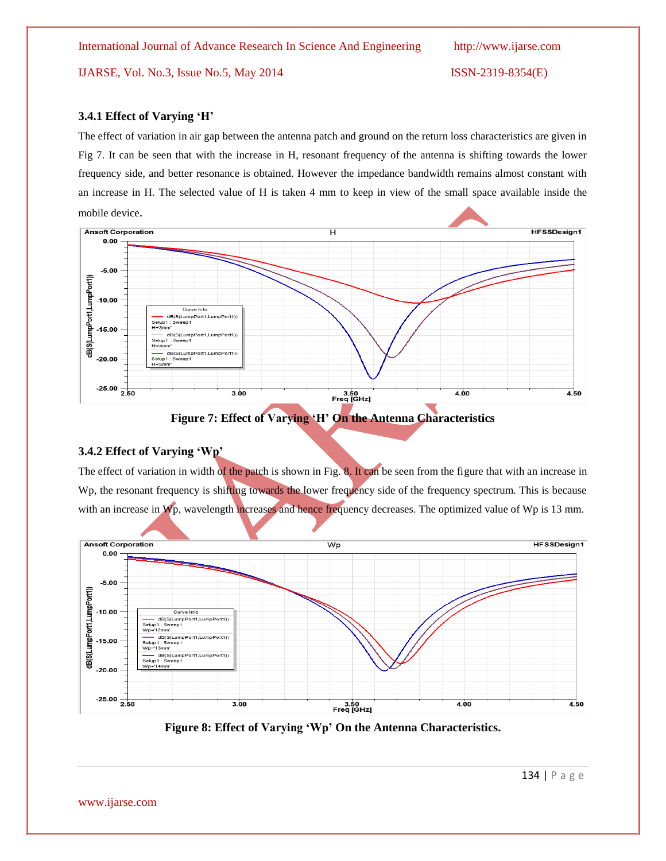IJARSE, Vol. No.3, Issue No.5, May 2014 ISSN-2319-8354(E)

#### **3.4.1 Effect of Varying 'H'**

The effect of variation in air gap between the antenna patch and ground on the return loss characteristics are given in Fig 7. It can be seen that with the increase in H, resonant frequency of the antenna is shifting towards the lower frequency side, and better resonance is obtained. However the impedance bandwidth remains almost constant with an increase in H. The selected value of H is taken 4 mm to keep in view of the small space available inside the mobile device.



**Figure 7: Effect of Varying 'H' On the Antenna Characteristics**

#### **3.4.2 Effect of Varying 'Wp'**

The effect of variation in width of the patch is shown in Fig. 8. It can be seen from the figure that with an increase in Wp, the resonant frequency is shifting towards the lower frequency side of the frequency spectrum. This is because with an increase in Wp, wavelength increases and hence frequency decreases. The optimized value of Wp is 13 mm.



**Figure 8: Effect of Varying 'Wp' On the Antenna Characteristics.**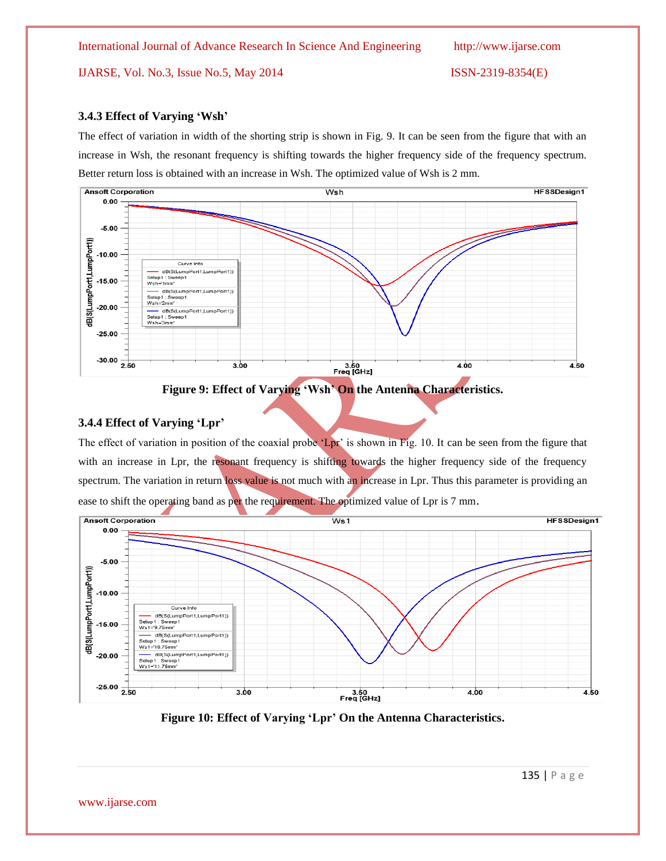IJARSE, Vol. No.3, Issue No.5, May 2014 ISSN-2319-8354(E)

#### **3.4.3 Effect of Varying 'Wsh'**

The effect of variation in width of the shorting strip is shown in Fig. 9. It can be seen from the figure that with an increase in Wsh, the resonant frequency is shifting towards the higher frequency side of the frequency spectrum. Better return loss is obtained with an increase in Wsh. The optimized value of Wsh is 2 mm.



**Figure 9: Effect of Varying 'Wsh' On the Antenna Characteristics.**

#### **3.4.4 Effect of Varying 'Lpr'**

The effect of variation in position of the coaxial probe 'Lpr' is shown in Fig. 10. It can be seen from the figure that with an increase in Lpr, the resonant frequency is shifting towards the higher frequency side of the frequency spectrum. The variation in return loss value is not much with an increase in Lpr. Thus this parameter is providing an ease to shift the operating band as per the requirement. The optimized value of Lpr is 7 mm.



**Figure 10: Effect of Varying 'Lpr' On the Antenna Characteristics.**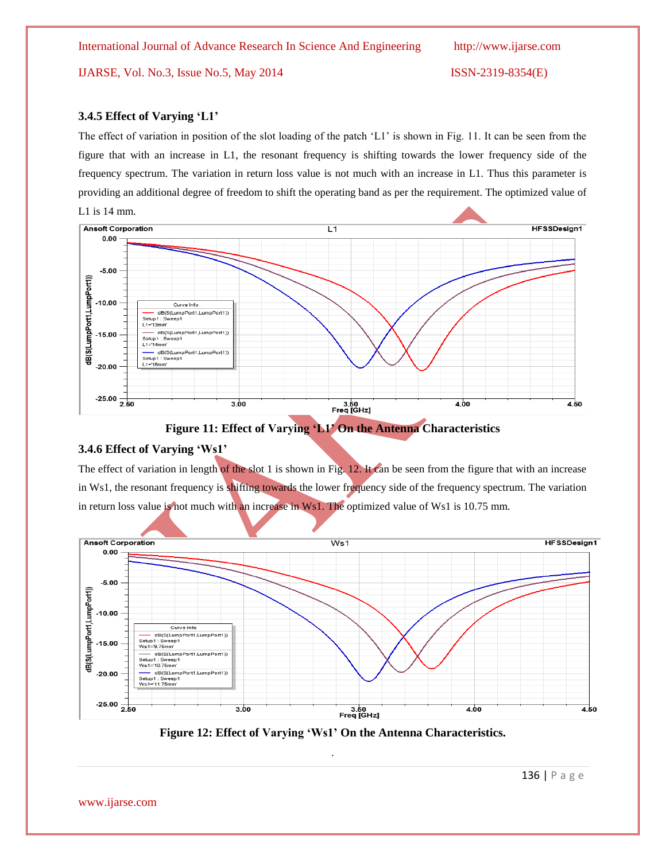IJARSE, Vol. No.3, Issue No.5, May 2014 ISSN-2319-8354(E)

#### **3.4.5 Effect of Varying 'L1'**

The effect of variation in position of the slot loading of the patch "L1" is shown in Fig. 11. It can be seen from the figure that with an increase in L1, the resonant frequency is shifting towards the lower frequency side of the frequency spectrum. The variation in return loss value is not much with an increase in L1. Thus this parameter is providing an additional degree of freedom to shift the operating band as per the requirement. The optimized value of L1 is 14 mm.



**Figure 11: Effect of Varying 'L1' On the Antenna Characteristics**

#### **3.4.6 Effect of Varying 'Ws1'**

The effect of variation in length of the slot 1 is shown in Fig. 12. It can be seen from the figure that with an increase in Ws1, the resonant frequency is shifting towards the lower frequency side of the frequency spectrum. The variation in return loss value is not much with an increase in Ws1. The optimized value of Ws1 is 10.75 mm.



**Figure 12: Effect of Varying 'Ws1' On the Antenna Characteristics.** .

www.ijarse.com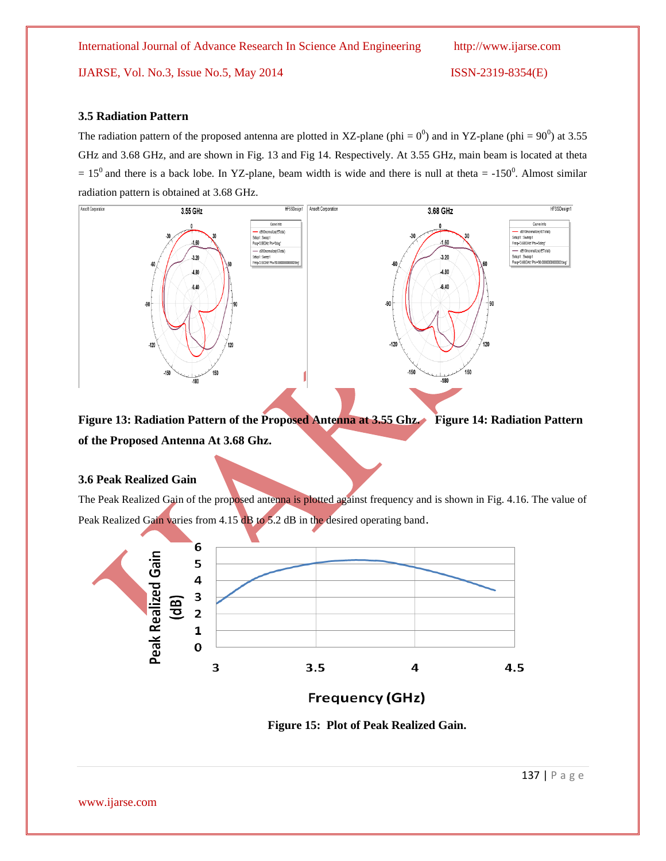IJARSE, Vol. No.3, Issue No.5, May 2014 ISSN-2319-8354(E)

#### **3.5 Radiation Pattern**

The radiation pattern of the proposed antenna are plotted in XZ-plane (phi =  $0^0$ ) and in YZ-plane (phi =  $90^0$ ) at 3.55 GHz and 3.68 GHz, and are shown in Fig. 13 and Fig 14. Respectively. At 3.55 GHz, main beam is located at theta  $= 15<sup>0</sup>$  and there is a back lobe. In YZ-plane, beam width is wide and there is null at theta  $= -150<sup>0</sup>$ . Almost similar radiation pattern is obtained at 3.68 GHz.



**Figure 13: Radiation Pattern of the Proposed Antenna at 3.55 Ghz. Figure 14: Radiation Pattern of the Proposed Antenna At 3.68 Ghz.**

#### **3.6 Peak Realized Gain**

The Peak Realized Gain of the proposed antenna is plotted against frequency and is shown in Fig. 4.16. The value of Peak Realized Gain varies from 4.15 dB to 5.2 dB in the desired operating band.



**Frequency (GHz)** 

 **Figure 15: Plot of Peak Realized Gain.**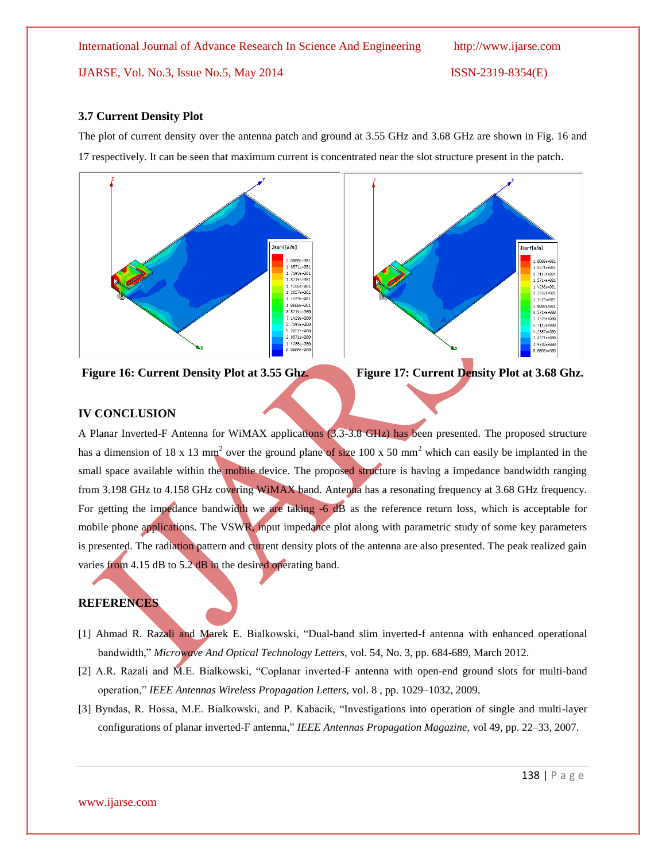IJARSE, Vol. No.3, Issue No.5, May 2014 ISSN-2319-8354(E)

#### **3.7 Current Density Plot**

The plot of current density over the antenna patch and ground at 3.55 GHz and 3.68 GHz are shown in Fig. 16 and 17 respectively. It can be seen that maximum current is concentrated near the slot structure present in the patch.



**Figure 16: Current Density Plot at 3.55 Ghz. Figure 17: Current Density Plot at 3.68 Ghz.**



#### **IV CONCLUSION**

A Planar Inverted-F Antenna for WiMAX applications (3.3-3.8 GHz) has been presented. The proposed structure has a dimension of 18 x 13 mm<sup>2</sup> over the ground plane of size 100 x 50 mm<sup>2</sup> which can easily be implanted in the small space available within the mobile device. The proposed structure is having a impedance bandwidth ranging from 3.198 GHz to 4.158 GHz covering WiMAX band. Antenna has a resonating frequency at 3.68 GHz frequency. For getting the impedance bandwidth we are taking -6 dB as the reference return loss, which is acceptable for mobile phone applications. The VSWR, input impedance plot along with parametric study of some key parameters is presented. The radiation pattern and current density plots of the antenna are also presented. The peak realized gain varies from 4.15 dB to 5.2 dB in the desired operating band.

#### **REFERENCES**

- [1] Ahmad R. Razali and Marek E. Bialkowski, "Dual-band slim inverted-f antenna with enhanced operational bandwidth," *Microwave And Optical Technology Letters,* vol. 54, No. 3, pp. 684-689, March 2012.
- [2] A.R. Razali and M.E. Bialkowski, "Coplanar inverted-F antenna with open-end ground slots for multi-band operation," *IEEE Antennas Wireless Propagation Letters,* vol. 8 , pp. 1029–1032, 2009.
- [3] Byndas, R. Hossa, M.E. Bialkowski, and P. Kabacik, "Investigations into operation of single and multi-layer configurations of planar inverted-F antenna," *IEEE Antennas Propagation Magazine,* vol 49, pp. 22–33, 2007.